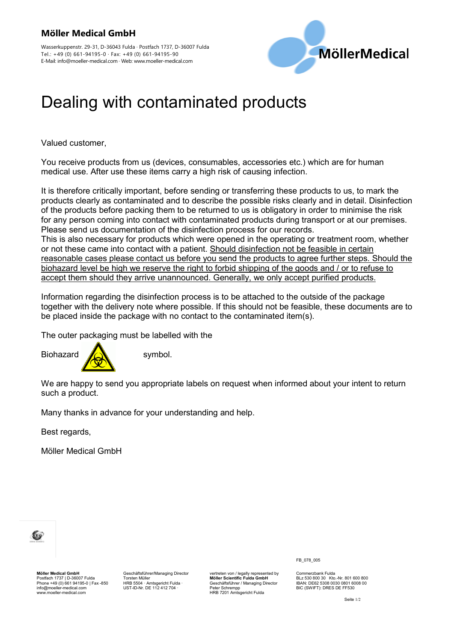



## Dealing with contaminated products

Valued customer,

You receive products from us (devices, consumables, accessories etc.) which are for human medical use. After use these items carry a high risk of causing infection.

It is therefore critically important, before sending or transferring these products to us, to mark the products clearly as contaminated and to describe the possible risks clearly and in detail. Disinfection of the products before packing them to be returned to us is obligatory in order to minimise the risk for any person coming into contact with contaminated products during transport or at our premises. Please send us documentation of the disinfection process for our records. This is also necessary for products which were opened in the operating or treatment room, whether or not these came into contact with a patient. Should disinfection not be feasible in certain reasonable cases please contact us before you send the products to agree further steps. Should the biohazard level be high we reserve the right to forbid shipping of the goods and / or to refuse to accept them should they arrive unannounced. Generally, we only accept purified products.

Information regarding the disinfection process is to be attached to the outside of the package together with the delivery note where possible. If this should not be feasible, these documents are to be placed inside the package with no contact to the contaminated item(s).

The outer packaging must be labelled with the



We are happy to send you appropriate labels on request when informed about your intent to return such a product.

Many thanks in advance for your understanding and help.

Best regards,

Möller Medical GmbH



**Möller Medical GmbH** Postfach 1737 | D-36007 Fulda Phone +49 (0) 661 94195-0 | Fax -850 info@moeller-medical.com www.moeller-medical.com

Geschäftsführer/Managing Director Torsten Müller HRB 5504 · Amtsgericht Fulda · UST-ID-Nr. DE 112 412 704 ·

vertreten von / legally represented by **Möller Scientific Fulda GmbH** Geschäftsführer / Managing Director Peter Schrempp HRB 7201 Amtsgericht Fulda

FB\_078\_005

Commerzbank Fulda BLz 530 800 30 Kto.-Nr. 801 600 800 IBAN: DE62 5308 0030 0801 6008 00 BIC (SWIFT): DRES DE FF530

Seite 1/2